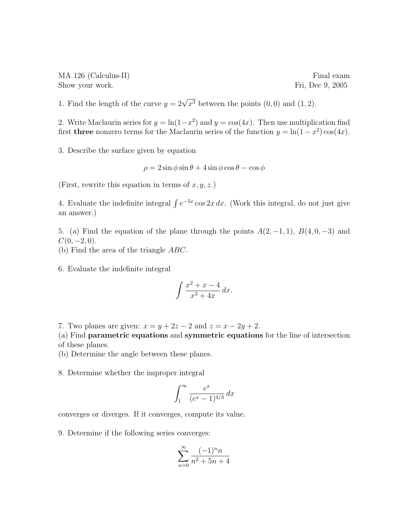MA 126 (Calculus-II) Final exam Show your work. Fri, Dec 9, 2005

1. Find the length of the curve  $y = 2\sqrt{x^3}$  between the points  $(0,0)$  and  $(1,2)$ .

2. Write Maclaurin series for  $y = \ln(1-x^2)$  and  $y = \cos(4x)$ . Then use multiplication find first **three** nonzero terms for the Maclaurin series of the function  $y = \ln(1 - x^2) \cos(4x)$ .

3. Describe the surface given by equation

$$
\rho = 2\sin\phi\sin\theta + 4\sin\phi\cos\theta - \cos\phi
$$

(First, rewrite this equation in terms of  $x, y, z$ .)

4. Evaluate the indefinite integral  $\int e^{-5x} \cos 2x \, dx$ . (Work this integral, do not just give an answer.)

5. (a) Find the equation of the plane through the points  $A(2, -1, 1)$ ,  $B(4, 0, -3)$  and  $C(0, -2, 0).$ 

(b) Find the area of the triangle ABC.

6. Evaluate the indefinite integral

$$
\int \frac{x^2 + x - 4}{x^3 + 4x} \, dx.
$$

7. Two planes are given:  $x = y + 2z - 2$  and  $z = x - 2y + 2$ .

(a) Find parametric equations and symmetric equations for the line of intersection of these planes.

(b) Determine the angle between these planes.

8. Determine whether the improper integral

$$
\int_1^\infty \frac{e^x}{(e^x - 1)^{4/3}} dx
$$

converges or diverges. If it converges, compute its value.

9. Determine if the following series converges:

$$
\sum_{n=0}^{\infty} \frac{(-1)^n n}{n^2 + 5n + 4}
$$